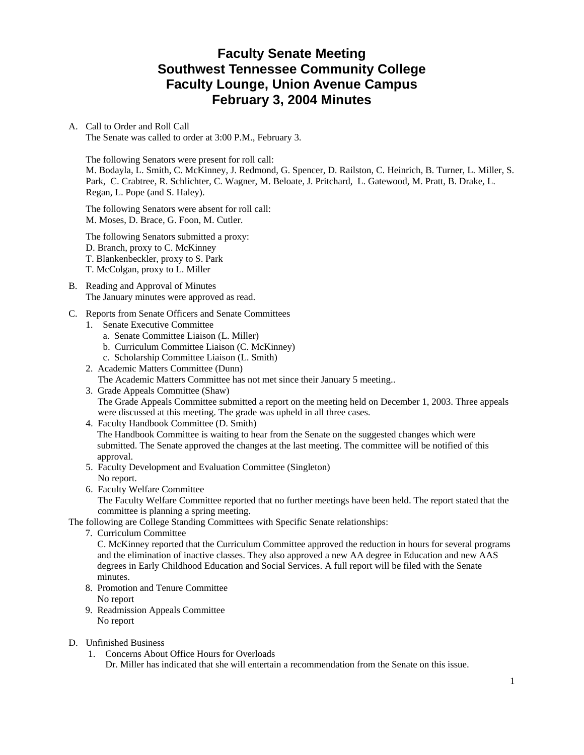# **Faculty Senate Meeting Southwest Tennessee Community College Faculty Lounge, Union Avenue Campus February 3, 2004 Minutes**

## A. Call to Order and Roll Call

The Senate was called to order at 3:00 P.M., February 3.

The following Senators were present for roll call: M. Bodayla, L. Smith, C. McKinney, J. Redmond, G. Spencer, D. Railston, C. Heinrich, B. Turner, L. Miller, S. Park, C. Crabtree, R. Schlichter, C. Wagner, M. Beloate, J. Pritchard, L. Gatewood, M. Pratt, B. Drake, L. Regan, L. Pope (and S. Haley).

The following Senators were absent for roll call: M. Moses, D. Brace, G. Foon, M. Cutler.

The following Senators submitted a proxy: D. Branch, proxy to C. McKinney T. Blankenbeckler, proxy to S. Park T. McColgan, proxy to L. Miller

- B. Reading and Approval of Minutes The January minutes were approved as read.
- C. Reports from Senate Officers and Senate Committees
	- 1. Senate Executive Committee
		- a. Senate Committee Liaison (L. Miller)
		- b. Curriculum Committee Liaison (C. McKinney)
		- c. Scholarship Committee Liaison (L. Smith)
	- 2. Academic Matters Committee (Dunn)

The Academic Matters Committee has not met since their January 5 meeting..

- 3. Grade Appeals Committee (Shaw) The Grade Appeals Committee submitted a report on the meeting held on December 1, 2003. Three appeals were discussed at this meeting. The grade was upheld in all three cases.
- 4. Faculty Handbook Committee (D. Smith) The Handbook Committee is waiting to hear from the Senate on the suggested changes which were submitted. The Senate approved the changes at the last meeting. The committee will be notified of this approval.
- 5. Faculty Development and Evaluation Committee (Singleton) No report.
- 6. Faculty Welfare Committee

 The Faculty Welfare Committee reported that no further meetings have been held. The report stated that the committee is planning a spring meeting.

The following are College Standing Committees with Specific Senate relationships:

7. Curriculum Committee

 C. McKinney reported that the Curriculum Committee approved the reduction in hours for several programs and the elimination of inactive classes. They also approved a new AA degree in Education and new AAS degrees in Early Childhood Education and Social Services. A full report will be filed with the Senate minutes.

- 8. Promotion and Tenure Committee No report
- 9. Readmission Appeals Committee No report
- D. Unfinished Business
	- 1. Concerns About Office Hours for Overloads

Dr. Miller has indicated that she will entertain a recommendation from the Senate on this issue.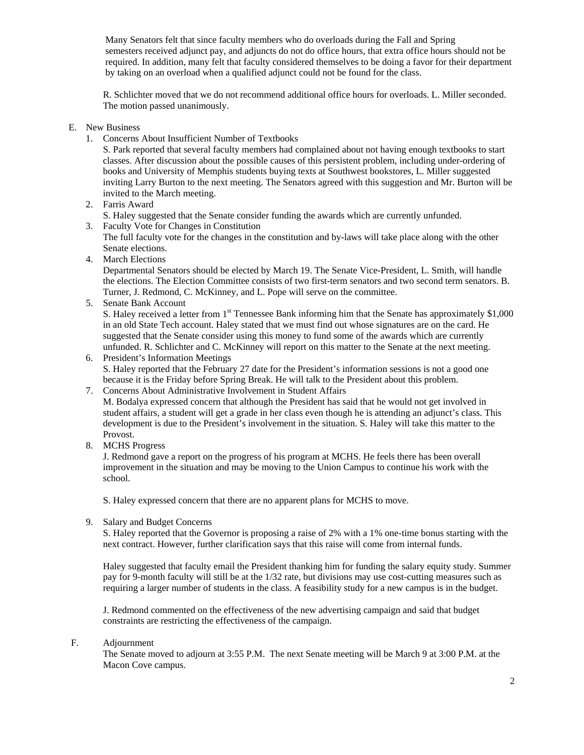Many Senators felt that since faculty members who do overloads during the Fall and Spring semesters received adjunct pay, and adjuncts do not do office hours, that extra office hours should not be required. In addition, many felt that faculty considered themselves to be doing a favor for their department by taking on an overload when a qualified adjunct could not be found for the class.

R. Schlichter moved that we do not recommend additional office hours for overloads. L. Miller seconded. The motion passed unanimously.

### E. New Business

1. Concerns About Insufficient Number of Textbooks

S. Park reported that several faculty members had complained about not having enough textbooks to start classes. After discussion about the possible causes of this persistent problem, including under-ordering of books and University of Memphis students buying texts at Southwest bookstores, L. Miller suggested inviting Larry Burton to the next meeting. The Senators agreed with this suggestion and Mr. Burton will be invited to the March meeting.

- 2. Farris Award
	- S. Haley suggested that the Senate consider funding the awards which are currently unfunded.
- 3. Faculty Vote for Changes in Constitution The full faculty vote for the changes in the constitution and by-laws will take place along with the other Senate elections.
- 4. March Elections

Departmental Senators should be elected by March 19. The Senate Vice-President, L. Smith, will handle the elections. The Election Committee consists of two first-term senators and two second term senators. B. Turner, J. Redmond, C. McKinney, and L. Pope will serve on the committee.

5. Senate Bank Account

S. Haley received a letter from  $1<sup>st</sup>$  Tennessee Bank informing him that the Senate has approximately \$1,000 in an old State Tech account. Haley stated that we must find out whose signatures are on the card. He suggested that the Senate consider using this money to fund some of the awards which are currently unfunded. R. Schlichter and C. McKinney will report on this matter to the Senate at the next meeting.

- 6. President's Information Meetings S. Haley reported that the February 27 date for the President's information sessions is not a good one because it is the Friday before Spring Break. He will talk to the President about this problem.
- 7. Concerns About Administrative Involvement in Student Affairs M. Bodalya expressed concern that although the President has said that he would not get involved in student affairs, a student will get a grade in her class even though he is attending an adjunct's class. This development is due to the President's involvement in the situation. S. Haley will take this matter to the Provost.
- 8. MCHS Progress

J. Redmond gave a report on the progress of his program at MCHS. He feels there has been overall improvement in the situation and may be moving to the Union Campus to continue his work with the school.

S. Haley expressed concern that there are no apparent plans for MCHS to move.

9. Salary and Budget Concerns

S. Haley reported that the Governor is proposing a raise of 2% with a 1% one-time bonus starting with the next contract. However, further clarification says that this raise will come from internal funds.

Haley suggested that faculty email the President thanking him for funding the salary equity study. Summer pay for 9-month faculty will still be at the 1/32 rate, but divisions may use cost-cutting measures such as requiring a larger number of students in the class. A feasibility study for a new campus is in the budget.

J. Redmond commented on the effectiveness of the new advertising campaign and said that budget constraints are restricting the effectiveness of the campaign.

### F. Adjournment

 The Senate moved to adjourn at 3:55 P.M. The next Senate meeting will be March 9 at 3:00 P.M. at the Macon Cove campus.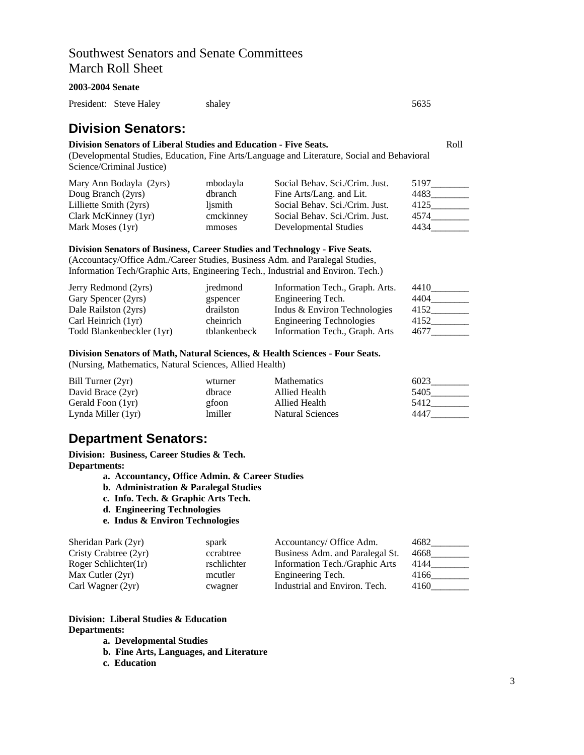## Southwest Senators and Senate Committees March Roll Sheet

### **2003-2004 Senate**

President: Steve Haley shaley shaley 5635

## **Division Senators:**

### **Division Senators of Liberal Studies and Education - Five Seats.** Roll

(Developmental Studies, Education, Fine Arts/Language and Literature, Social and Behavioral Science/Criminal Justice)

| Mary Ann Bodayla (2yrs) | mbodayla  | Social Behav. Sci./Crim. Just. | 5197 |
|-------------------------|-----------|--------------------------------|------|
| Doug Branch (2yrs)      | dbranch   | Fine Arts/Lang. and Lit.       | 4483 |
| Lilliette Smith (2yrs)  | lismith   | Social Behav. Sci./Crim. Just. | 4125 |
| Clark McKinney (1yr)    | cmckinney | Social Behav. Sci./Crim. Just. | 4574 |
| Mark Moses (1yr)        | mmoses    | Developmental Studies          | 4434 |

#### **Division Senators of Business, Career Studies and Technology - Five Seats.**

(Accountacy/Office Adm./Career Studies, Business Adm. and Paralegal Studies, Information Tech/Graphic Arts, Engineering Tech., Industrial and Environ. Tech.)

| Jerry Redmond (2yrs)      | iredmond     | Information Tech., Graph. Arts. | 4410 |
|---------------------------|--------------|---------------------------------|------|
| Gary Spencer (2yrs)       | gspencer     | Engineering Tech.               | 4404 |
| Dale Railston (2yrs)      | drailston    | Indus & Environ Technologies    | 4152 |
| Carl Heinrich (1yr)       | cheinrich    | <b>Engineering Technologies</b> | 4152 |
| Todd Blankenbeckler (1yr) | tblankenbeck | Information Tech., Graph. Arts  | 4677 |

#### **Division Senators of Math, Natural Sciences, & Health Sciences - Four Seats.**

(Nursing, Mathematics, Natural Sciences, Allied Health)

| Bill Turner (2yr)    | wturner | <b>Mathematics</b>      | 6023 |
|----------------------|---------|-------------------------|------|
| David Brace (2yr)    | dbrace  | Allied Health           | 5405 |
| Gerald Foon (1yr)    | gfoon   | Allied Health           | 5412 |
| Lynda Miller $(1yr)$ | lmiller | <b>Natural Sciences</b> | 4447 |

## **Department Senators:**

**Division: Business, Career Studies & Tech. Departments:** 

- **a. Accountancy, Office Admin. & Career Studies**
- **b. Administration & Paralegal Studies**
- **c. Info. Tech. & Graphic Arts Tech.**
- **d. Engineering Technologies**
- **e. Indus & Environ Technologies**

| Sheridan Park (2yr)   | spark       | Accountancy/ Office Adm.        | 4682 |
|-----------------------|-------------|---------------------------------|------|
| Cristy Crabtree (2yr) | ccrabtree   | Business Adm. and Paralegal St. | 4668 |
| Roger Schlichter(1r)  | rschlichter | Information Tech./Graphic Arts  | 4144 |
| Max Cutler $(2yr)$    | mcutler     | Engineering Tech.               | 4166 |
| Carl Wagner (2yr)     | cwagner     | Industrial and Environ. Tech.   | 4160 |

### **Division: Liberal Studies & Education Departments:**

- **a. Developmental Studies**
- **b. Fine Arts, Languages, and Literature**
- **c. Education**